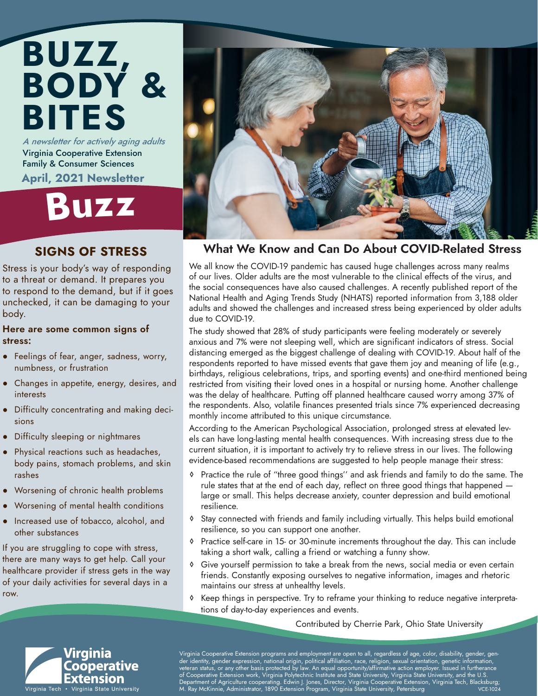#### BITES A newsletter for actively aging adults Virginia Cooperative Extension Family & Consumer Sciences

BODY &

April, 2021 Newsletter

BUZZ,

## Buz<sup>z</sup>

#### SIGNS OF STRESS

Stress is your body's way of responding to a threat or demand. It prepares you to respond to the demand, but if it goes unchecked, it can be damaging to your body.

#### Here are some common signs of stress:

- Feelings of fear, anger, sadness, worry, numbness, or frustration
- Changes in appetite, energy, desires, and interests
- Difficulty concentrating and making decisions
- Difficulty sleeping or nightmares
- Physical reactions such as headaches, body pains, stomach problems, and skin rashes
- Worsening of chronic health problems
- Worsening of mental health conditions
- Increased use of tobacco, alcohol, and other substances

If you are struggling to cope with stress, there are many ways to get help. Call your healthcare provider if stress gets in the way of your daily activities for several days in a row.



#### What We Know and Can Do About COVID-Related Stress

We all know the COVID-19 pandemic has caused huge challenges across many realms of our lives. Older adults are the most vulnerable to the clinical effects of the virus, and the social consequences have also caused challenges. A recently published report of the National Health and Aging Trends Study (NHATS) reported information from 3,188 older adults and showed the challenges and increased stress being experienced by older adults due to COVID-19.

The study showed that 28% of study participants were feeling moderately or severely anxious and 7% were not sleeping well, which are significant indicators of stress. Social distancing emerged as the biggest challenge of dealing with COVID-19. About half of the respondents reported to have missed events that gave them joy and meaning of life (e.g., birthdays, religious celebrations, trips, and sporting events) and one-third mentioned being restricted from visiting their loved ones in a hospital or nursing home. Another challenge was the delay of healthcare. Putting off planned healthcare caused worry among 37% of the respondents. Also, volatile finances presented trials since 7% experienced decreasing monthly income attributed to this unique circumstance.

According to the American Psychological Association, prolonged stress at elevated levels can have long-lasting mental health consequences. With increasing stress due to the current situation, it is important to actively try to relieve stress in our lives. The following evidence-based recommendations are suggested to help people manage their stress:

- ◊ Practice the rule of "three good things'' and ask friends and family to do the same. The rule states that at the end of each day, reflect on three good things that happened large or small. This helps decrease anxiety, counter depression and build emotional resilience.
- ◊ Stay connected with friends and family including virtually. This helps build emotional resilience, so you can support one another.
- ◊ Practice self-care in 15- or 30-minute increments throughout the day. This can include taking a short walk, calling a friend or watching a funny show.
- Give yourself permission to take a break from the news, social media or even certain friends. Constantly exposing ourselves to negative information, images and rhetoric maintains our stress at unhealthy levels.
- ◊ Keep things in perspective. Try to reframe your thinking to reduce negative interpretations of day-to-day experiences and events.

Contributed by Cherrie Park, Ohio State University



Virginia Cooperative Extension programs and employment are open to all, regardless of age, color, disability, gender, gender identity, gender expression, national origin, political affiliation, race, religion, sexual orientation, genetic information, veteran status, or any other basis protected by law. An equal opportunity/affirmative action employer. Issued in furtherance of Cooperative Extension work, Virginia Polytechnic Institute and State University, Virginia State University, and the U.S. , Department of Agriculture cooperating. Edwin J. Jones, Director, Virginia Cooperative Extension, Virginia Tech, Blacksburg;<br>M. Ray McKinnie, Administrator, 1890 Extension Program, Virginia State University, Petersburg